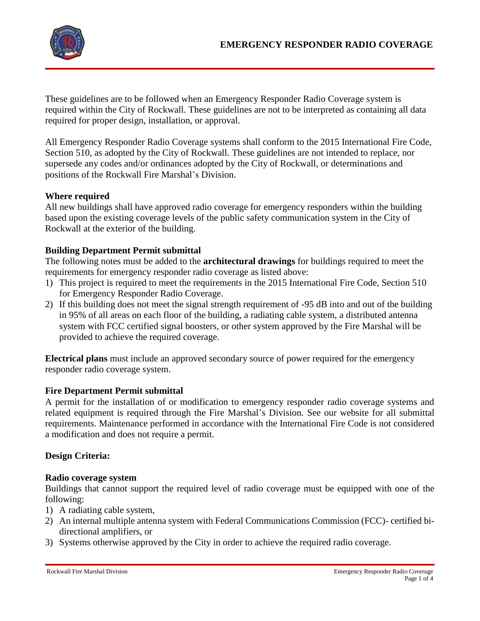

These guidelines are to be followed when an Emergency Responder Radio Coverage system is required within the City of Rockwall. These guidelines are not to be interpreted as containing all data required for proper design, installation, or approval.

All Emergency Responder Radio Coverage systems shall conform to the 2015 International Fire Code, Section 510, as adopted by the City of Rockwall. These guidelines are not intended to replace, nor supersede any codes and/or ordinances adopted by the City of Rockwall, or determinations and positions of the Rockwall Fire Marshal's Division.

### **Where required**

All new buildings shall have approved radio coverage for emergency responders within the building based upon the existing coverage levels of the public safety communication system in the City of Rockwall at the exterior of the building.

# **Building Department Permit submittal**

The following notes must be added to the **architectural drawings** for buildings required to meet the requirements for emergency responder radio coverage as listed above:

- 1) This project is required to meet the requirements in the 2015 International Fire Code, Section 510 for Emergency Responder Radio Coverage.
- 2) If this building does not meet the signal strength requirement of -95 dB into and out of the building in 95% of all areas on each floor of the building, a radiating cable system, a distributed antenna system with FCC certified signal boosters, or other system approved by the Fire Marshal will be provided to achieve the required coverage.

**Electrical plans** must include an approved secondary source of power required for the emergency responder radio coverage system.

### **Fire Department Permit submittal**

A permit for the installation of or modification to emergency responder radio coverage systems and related equipment is required through the Fire Marshal's Division. See our website for all submittal requirements. Maintenance performed in accordance with the International Fire Code is not considered a modification and does not require a permit.

### **Design Criteria:**

### **Radio coverage system**

Buildings that cannot support the required level of radio coverage must be equipped with one of the following:

- 1) A radiating cable system,
- 2) An internal multiple antenna system with Federal Communications Commission (FCC)- certified bidirectional amplifiers, or
- 3) Systems otherwise approved by the City in order to achieve the required radio coverage.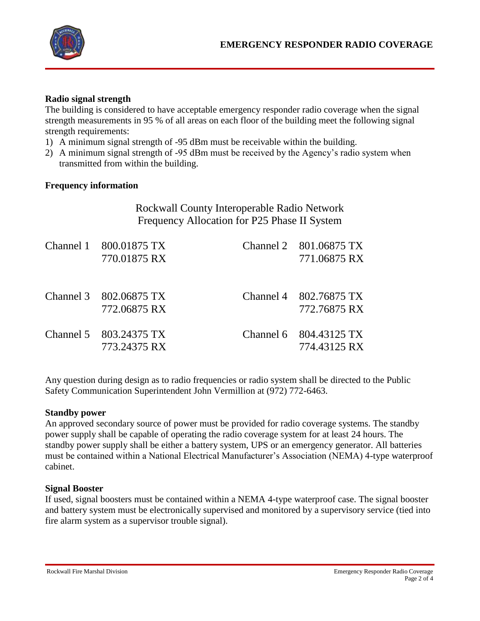

## **Radio signal strength**

The building is considered to have acceptable emergency responder radio coverage when the signal strength measurements in 95 % of all areas on each floor of the building meet the following signal strength requirements:

- 1) A minimum signal strength of -95 dBm must be receivable within the building.
- 2) A minimum signal strength of -95 dBm must be received by the Agency's radio system when transmitted from within the building.

### **Frequency information**

| Rockwall County Interoperable Radio Network<br>Frequency Allocation for P25 Phase II System |  |                                        |
|---------------------------------------------------------------------------------------------|--|----------------------------------------|
| Channel 1 800.01875 TX<br>770.01875 RX                                                      |  | Channel 2 801.06875 TX<br>771.06875 RX |
| Channel 3 802.06875 TX<br>772.06875 RX                                                      |  | Channel 4 802.76875 TX<br>772.76875 RX |

Channel 5 803.24375 TX Channel 6 804.43125 TX

Any question during design as to radio frequencies or radio system shall be directed to the Public Safety Communication Superintendent John Vermillion at (972) 772-6463.

773.24375 RX 774.43125 RX

#### **Standby power**

An approved secondary source of power must be provided for radio coverage systems. The standby power supply shall be capable of operating the radio coverage system for at least 24 hours. The standby power supply shall be either a battery system, UPS or an emergency generator. All batteries must be contained within a National Electrical Manufacturer's Association (NEMA) 4-type waterproof cabinet.

#### **Signal Booster**

If used, signal boosters must be contained within a NEMA 4-type waterproof case. The signal booster and battery system must be electronically supervised and monitored by a supervisory service (tied into fire alarm system as a supervisor trouble signal).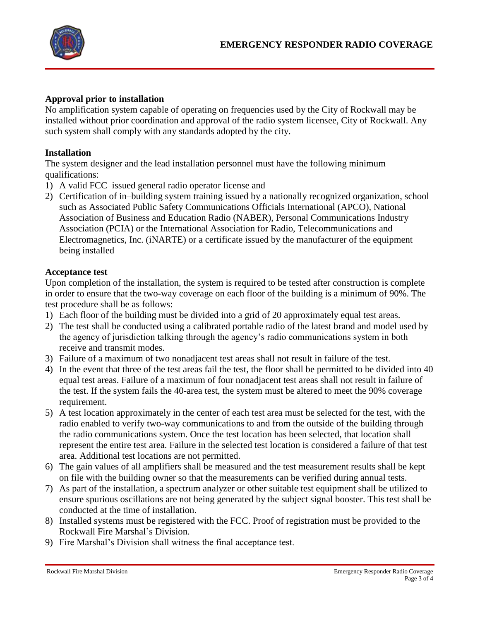

### **Approval prior to installation**

No amplification system capable of operating on frequencies used by the City of Rockwall may be installed without prior coordination and approval of the radio system licensee, City of Rockwall. Any such system shall comply with any standards adopted by the city.

## **Installation**

The system designer and the lead installation personnel must have the following minimum qualifications:

- 1) A valid FCC–issued general radio operator license and
- 2) Certification of in–building system training issued by a nationally recognized organization, school such as Associated Public Safety Communications Officials International (APCO), National Association of Business and Education Radio (NABER), Personal Communications Industry Association (PCIA) or the International Association for Radio, Telecommunications and Electromagnetics, Inc. (iNARTE) or a certificate issued by the manufacturer of the equipment being installed

### **Acceptance test**

Upon completion of the installation, the system is required to be tested after construction is complete in order to ensure that the two-way coverage on each floor of the building is a minimum of 90%. The test procedure shall be as follows:

- 1) Each floor of the building must be divided into a grid of 20 approximately equal test areas.
- 2) The test shall be conducted using a calibrated portable radio of the latest brand and model used by the agency of jurisdiction talking through the agency's radio communications system in both receive and transmit modes.
- 3) Failure of a maximum of two nonadjacent test areas shall not result in failure of the test.
- 4) In the event that three of the test areas fail the test, the floor shall be permitted to be divided into 40 equal test areas. Failure of a maximum of four nonadjacent test areas shall not result in failure of the test. If the system fails the 40-area test, the system must be altered to meet the 90% coverage requirement.
- 5) A test location approximately in the center of each test area must be selected for the test, with the radio enabled to verify two-way communications to and from the outside of the building through the radio communications system. Once the test location has been selected, that location shall represent the entire test area. Failure in the selected test location is considered a failure of that test area. Additional test locations are not permitted.
- 6) The gain values of all amplifiers shall be measured and the test measurement results shall be kept on file with the building owner so that the measurements can be verified during annual tests.
- 7) As part of the installation, a spectrum analyzer or other suitable test equipment shall be utilized to ensure spurious oscillations are not being generated by the subject signal booster. This test shall be conducted at the time of installation.
- 8) Installed systems must be registered with the FCC. Proof of registration must be provided to the Rockwall Fire Marshal's Division.
- 9) Fire Marshal's Division shall witness the final acceptance test.